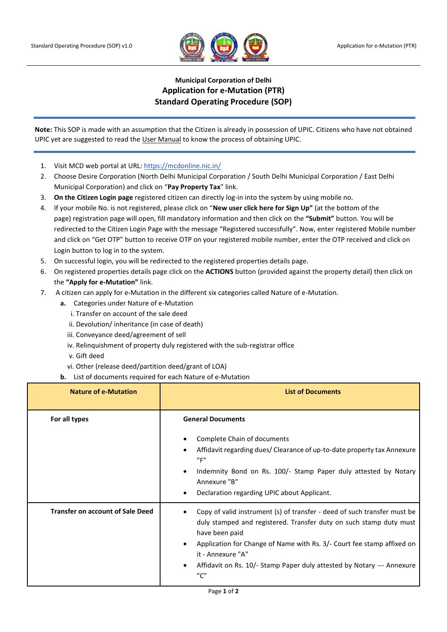

## **Municipal Corporation of Delhi Application for e-Mutation (PTR) Standard Operating Procedure (SOP)**

**Note:** This SOP is made with an assumption that the Citizen is already in possession of UPIC. Citizens who have not obtained UPIC yet are suggested to read th[e User Manual](https://mcdonline.nic.in/citizensdmc/web/citizen/property/doDownloadPtrUsermanual) to know the process of obtaining UPIC.

- 1. Visit MCD web portal at URL:<https://mcdonline.nic.in/>
- 2. Choose Desire Corporation (North Delhi Municipal Corporation / South Delhi Municipal Corporation / East Delhi Municipal Corporation) and click on "**Pay Property Tax**" link.
- 3. **On the Citizen Login page** registered citizen can directly log-in into the system by using mobile no.
- 4. If your mobile No. is not registered, please click on "**New user click here for Sign Up"** (at the bottom of the page) registration page will open, fill mandatory information and then click on the **"Submit"** button. You will be redirected to the Citizen Login Page with the message "Registered successfully". Now, enter registered Mobile number and click on "Get OTP" button to receive OTP on your registered mobile number, enter the OTP received and click on Login button to log in to the system.
- 5. On successful login, you will be redirected to the registered properties details page.
- 6. On registered properties details page click on the **ACTIONS** button (provided against the property detail) then click on the **"Apply for e-Mutation"** link.
- 7. A citizen can apply for e-Mutation in the different six categories called Nature of e-Mutation.
	- **a.** Categories under Nature of e-Mutation
		- i. Transfer on account of the sale deed
		- ii. Devolution/ inheritance (in case of death)
		- iii. Conveyance deed/agreement of sell
		- iv. Relinquishment of property duly registered with the sub-registrar office
		- v. Gift deed
		- vi. Other (release deed/partition deed/grant of LOA)
	- **b.** List of documents required for each Nature of e-Mutation

| <b>Nature of e-Mutation</b>             | <b>List of Documents</b>                                                                                                                                                                                                                                                                                                                         |
|-----------------------------------------|--------------------------------------------------------------------------------------------------------------------------------------------------------------------------------------------------------------------------------------------------------------------------------------------------------------------------------------------------|
| For all types                           | <b>General Documents</b><br>Complete Chain of documents<br>Affidavit regarding dues/ Clearance of up-to-date property tax Annexure<br>"F"<br>Indemnity Bond on Rs. 100/- Stamp Paper duly attested by Notary<br>Annexure "B"<br>Declaration regarding UPIC about Applicant.                                                                      |
| <b>Transfer on account of Sale Deed</b> | Copy of valid instrument (s) of transfer - deed of such transfer must be<br>duly stamped and registered. Transfer duty on such stamp duty must<br>have been paid<br>Application for Change of Name with Rs. 3/- Court fee stamp affixed on<br>it - Annexure "A"<br>Affidavit on Rs. 10/- Stamp Paper duly attested by Notary --- Annexure<br>"ር" |